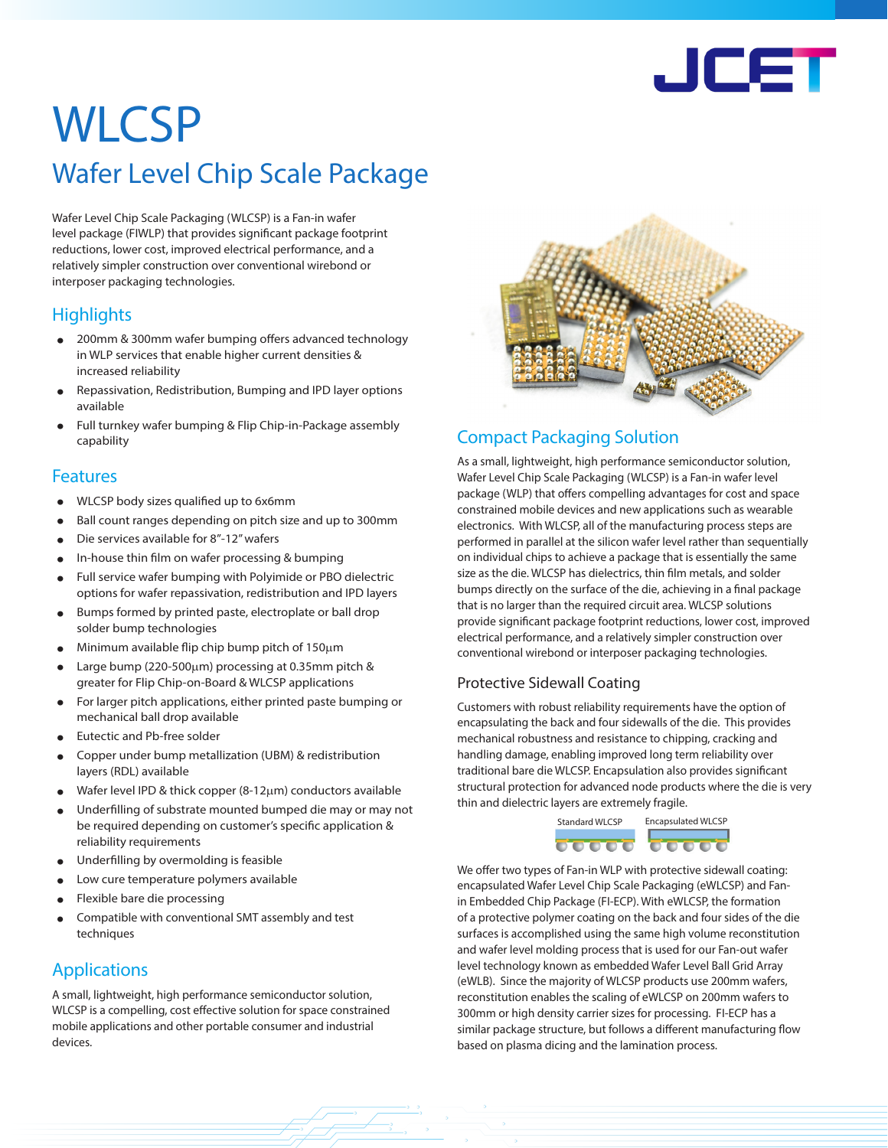

# **WLCSP**

# Wafer Level Chip Scale Package

Wafer Level Chip Scale Packaging (WLCSP) is a Fan-in wafer level package (FIWLP) that provides significant package footprint reductions, lower cost, improved electrical performance, and a relatively simpler construction over conventional wirebond or interposer packaging technologies.

# **Highlights**

- 200mm & 300mm wafer bumping offers advanced technology in WLP services that enable higher current densities & increased reliability
- Repassivation, Redistribution, Bumping and IPD layer options available
- Full turnkey wafer bumping & Flip Chip-in-Package assembly capability

## Features

- WLCSP body sizes qualified up to 6x6mm
- Ball count ranges depending on pitch size and up to 300mm
- Die services available for 8"-12" wafers
- In-house thin film on wafer processing & bumping
- Full service wafer bumping with Polyimide or PBO dielectric options for wafer repassivation, redistribution and IPD layers
- Bumps formed by printed paste, electroplate or ball drop solder bump technologies
- Minimum available flip chip bump pitch of 150µ<sup>m</sup>
- Large bump (220-500µm) processing at 0.35mm pitch & greater for Flip Chip-on-Board & WLCSP applications
- For larger pitch applications, either printed paste bumping or mechanical ball drop available
- Eutectic and Pb-free solder
- Copper under bump metallization (UBM) & redistribution layers (RDL) available
- Wafer level IPD & thick copper (8-12µm) conductors available
- Underfilling of substrate mounted bumped die may or may not be required depending on customer's specific application & reliability requirements
- Underfilling by overmolding is feasible
- Low cure temperature polymers available
- Flexible bare die processing
- Compatible with conventional SMT assembly and test techniques

# Applications

A small, lightweight, high performance semiconductor solution, WLCSP is a compelling, cost effective solution for space constrained mobile applications and other portable consumer and industrial devices.



# Compact Packaging Solution

As a small, lightweight, high performance semiconductor solution, Wafer Level Chip Scale Packaging (WLCSP) is a Fan-in wafer level package (WLP) that offers compelling advantages for cost and space constrained mobile devices and new applications such as wearable electronics. With WLCSP, all of the manufacturing process steps are performed in parallel at the silicon wafer level rather than sequentially on individual chips to achieve a package that is essentially the same size as the die. WLCSP has dielectrics, thin film metals, and solder bumps directly on the surface of the die, achieving in a final package that is no larger than the required circuit area. WLCSP solutions provide significant package footprint reductions, lower cost, improved electrical performance, and a relatively simpler construction over conventional wirebond or interposer packaging technologies.

## Protective Sidewall Coating

Customers with robust reliability requirements have the option of encapsulating the back and four sidewalls of the die. This provides mechanical robustness and resistance to chipping, cracking and handling damage, enabling improved long term reliability over traditional bare die WLCSP. Encapsulation also provides significant structural protection for advanced node products where the die is very thin and dielectric layers are extremely fragile.



We offer two types of Fan-in WLP with protective sidewall coating: encapsulated Wafer Level Chip Scale Packaging (eWLCSP) and Fanin Embedded Chip Package (FI-ECP). With eWLCSP, the formation of a protective polymer coating on the back and four sides of the die surfaces is accomplished using the same high volume reconstitution and wafer level molding process that is used for our Fan-out wafer level technology known as embedded Wafer Level Ball Grid Array (eWLB). Since the majority of WLCSP products use 200mm wafers, reconstitution enables the scaling of eWLCSP on 200mm wafers to 300mm or high density carrier sizes for processing. FI-ECP has a similar package structure, but follows a different manufacturing flow based on plasma dicing and the lamination process.